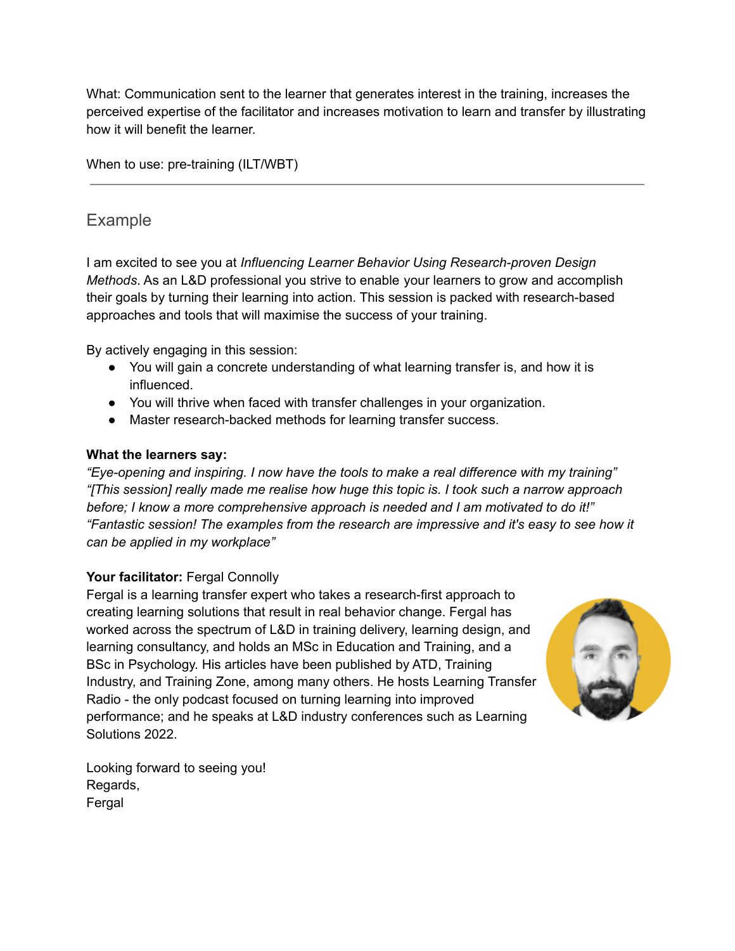What: Communication sent to the learner that generates interest in the training, increases the perceived expertise of the facilitator and increases motivation to learn and transfer by illustrating how it will benefit the learner.

When to use: pre-training (ILT/WBT)

# Example

I am excited to see you at *Influencing Learner Behavior Using Research-proven Design Methods*. As an L&D professional you strive to enable your learners to grow and accomplish their goals by turning their learning into action. This session is packed with research-based approaches and tools that will maximise the success of your training.

By actively engaging in this session:

- You will gain a concrete understanding of what learning transfer is, and how it is influenced.
- You will thrive when faced with transfer challenges in your organization.
- Master research-backed methods for learning transfer success.

### **What the learners say:**

*"Eye-opening and inspiring. I now have the tools to make a real difference with my training" "[This session] really made me realise how huge this topic is. I took such a narrow approach before; I know a more comprehensive approach is needed and I am motivated to do it!" "Fantastic session! The examples from the research are impressive and it's easy to see how it can be applied in my workplace"*

## **Your facilitator:** Fergal Connolly

Fergal is a learning transfer expert who takes a research-first approach to creating learning solutions that result in real behavior change. Fergal has worked across the spectrum of L&D in training delivery, learning design, and learning consultancy, and holds an MSc in Education and Training, and a BSc in Psychology. His articles have been published by ATD, Training Industry, and Training Zone, among many others. He hosts Learning Transfer Radio - the only podcast focused on turning learning into improved performance; and he speaks at L&D industry conferences such as Learning Solutions 2022.



Looking forward to seeing you! Regards, Fergal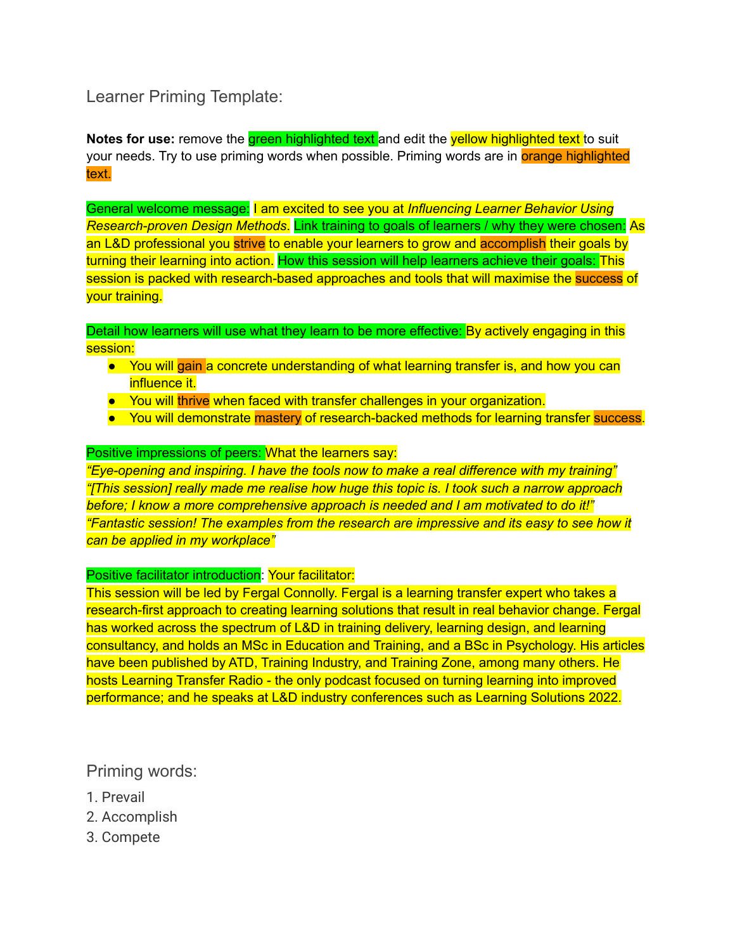Learner Priming Template:

**Notes for use:** remove the green highlighted text and edit the yellow highlighted text to suit your needs. Try to use priming words when possible. Priming words are in **orange highlighted** text.

General welcome message: I am excited to see you at *Influencing Learner Behavior Using Research-proven Design Methods*. Link training to goals of learners / why they were chosen: As an L&D professional you strive to enable your learners to grow and accomplish their goals by turning their learning into action. How this session will help learners achieve their goals: This session is packed with research-based approaches and tools that will maximise the success of your training.

Detail how learners will use what they learn to be more effective: By actively engaging in this session:

- You will gain a concrete understanding of what learning transfer is, and how you can influence it.
- You will thrive when faced with transfer challenges in your organization.
- You will demonstrate mastery of research-backed methods for learning transfer success.

### Positive impressions of peers: What the learners say:

*"Eye-opening and inspiring. I have the tools now to make a real difference with my training" "[This session] really made me realise how huge this topic is. I took such a narrow approach before; I know a more comprehensive approach is needed and I am motivated to do it!" "Fantastic session! The examples from the research are impressive and its easy to see how it can be applied in my workplace"*

### Positive facilitator introduction: Your facilitator:

This session will be led by Fergal Connolly. Fergal is a learning transfer expert who takes a research-first approach to creating learning solutions that result in real behavior change. Fergal has worked across the spectrum of L&D in training delivery, learning design, and learning consultancy, and holds an MSc in Education and Training, and a BSc in Psychology. His articles have been published by ATD, Training Industry, and Training Zone, among many others. He hosts Learning Transfer Radio - the only podcast focused on turning learning into improved performance; and he speaks at L&D industry conferences such as Learning Solutions 2022.

Priming words:

- 1. Prevail
- 2. Accomplish
- 3. Compete